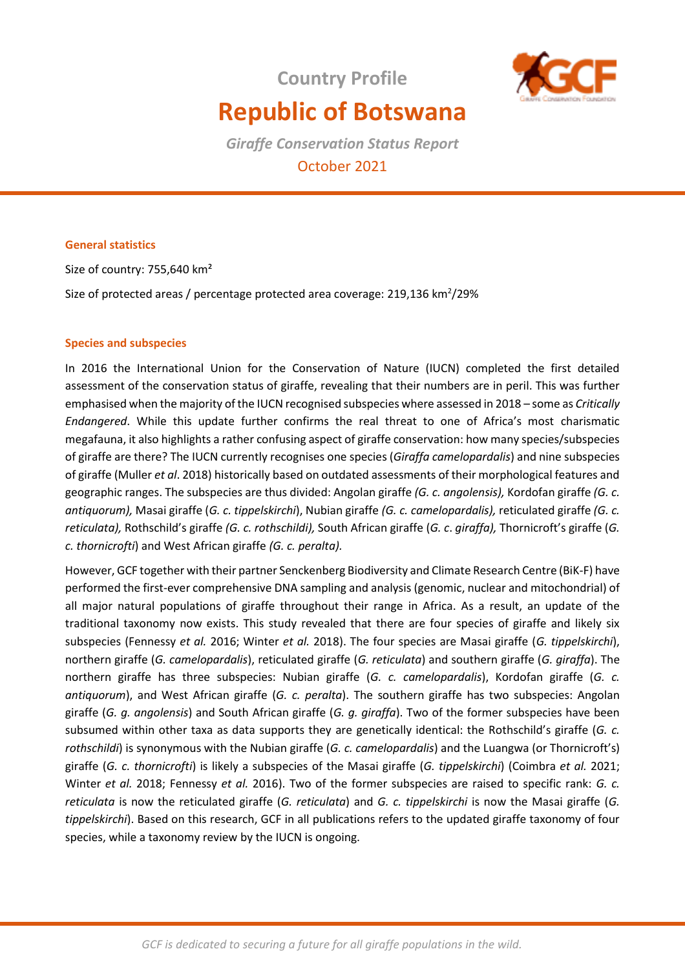**Country Profile** 



# **Republic of Botswana**

*Giraffe Conservation Status Report*  October 2021

# **General statistics**

Size of country: 755,640 km²

Size of protected areas / percentage protected area coverage: 219,136  $\text{km}^2$ /29%

## **Species and subspecies**

In 2016 the International Union for the Conservation of Nature (IUCN) completed the first detailed assessment of the conservation status of giraffe, revealing that their numbers are in peril. This was further emphasised when the majority of the IUCN recognised subspecies where assessed in 2018 – some as *Critically Endangered*. While this update further confirms the real threat to one of Africa's most charismatic megafauna, it also highlights a rather confusing aspect of giraffe conservation: how many species/subspecies of giraffe are there? The IUCN currently recognises one species (*Giraffa camelopardalis*) and nine subspecies of giraffe (Muller *et al*. 2018) historically based on outdated assessments of their morphological features and geographic ranges. The subspecies are thus divided: Angolan giraffe *(G. c. angolensis),* Kordofan giraffe *(G. c. antiquorum),* Masai giraffe (*G. c. tippelskirchi*), Nubian giraffe *(G. c. camelopardalis),* reticulated giraffe *(G. c. reticulata),* Rothschild's giraffe *(G. c. rothschildi),* South African giraffe (*G. c*. *giraffa),* Thornicroft's giraffe (*G. c. thornicrofti*) and West African giraffe *(G. c. peralta).* 

However, GCF together with their partner Senckenberg Biodiversity and Climate Research Centre (BiK-F) have performed the first-ever comprehensive DNA sampling and analysis (genomic, nuclear and mitochondrial) of all major natural populations of giraffe throughout their range in Africa. As a result, an update of the traditional taxonomy now exists. This study revealed that there are four species of giraffe and likely six subspecies (Fennessy *et al.* 2016; Winter *et al.* 2018). The four species are Masai giraffe (*G. tippelskirchi*), northern giraffe (*G. camelopardalis*), reticulated giraffe (*G. reticulata*) and southern giraffe (*G. giraffa*). The northern giraffe has three subspecies: Nubian giraffe (*G. c. camelopardalis*), Kordofan giraffe (*G. c. antiquorum*), and West African giraffe (*G. c. peralta*). The southern giraffe has two subspecies: Angolan giraffe (*G. g. angolensis*) and South African giraffe (*G. g. giraffa*). Two of the former subspecies have been subsumed within other taxa as data supports they are genetically identical: the Rothschild's giraffe (*G. c. rothschildi*) is synonymous with the Nubian giraffe (*G. c. camelopardalis*) and the Luangwa (or Thornicroft's) giraffe (*G. c. thornicrofti*) is likely a subspecies of the Masai giraffe (*G. tippelskirchi*) (Coimbra *et al.* 2021; Winter *et al.* 2018; Fennessy *et al.* 2016). Two of the former subspecies are raised to specific rank: *G. c. reticulata* is now the reticulated giraffe (*G. reticulata*) and *G. c. tippelskirchi* is now the Masai giraffe (*G. tippelskirchi*). Based on this research, GCF in all publications refers to the updated giraffe taxonomy of four species, while a taxonomy review by the IUCN is ongoing.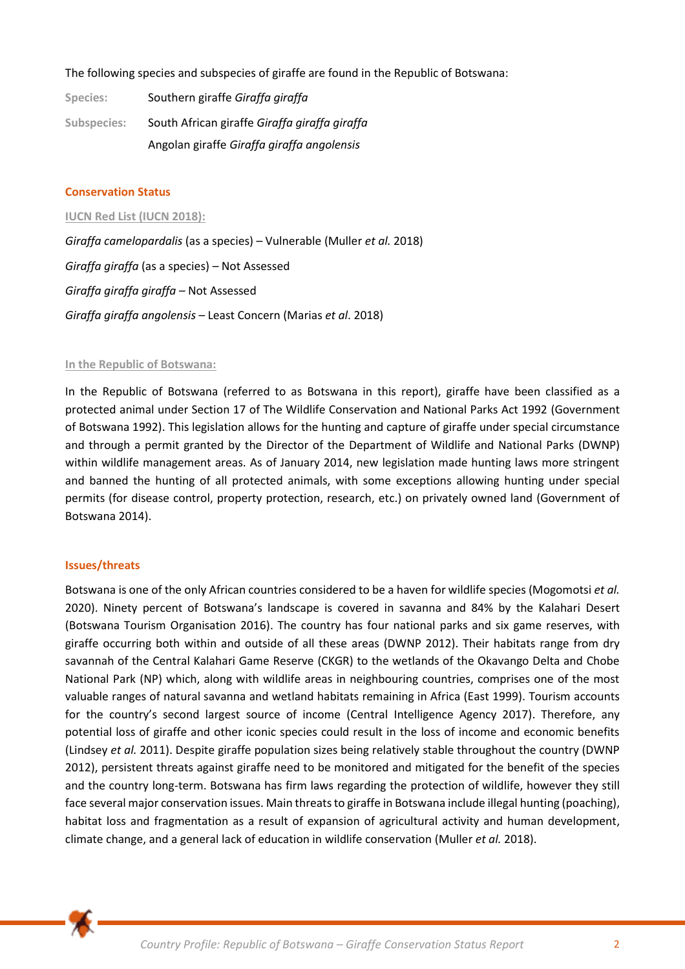The following species and subspecies of giraffe are found in the Republic of Botswana:

**Species:** Southern giraffe *Giraffa giraffa* **Subspecies:** South African giraffe *Giraffa giraffa giraffa* Angolan giraffe *Giraffa giraffa angolensis*

## **Conservation Status**

**IUCN Red List (IUCN 2018):**  *Giraffa camelopardalis* (as a species) – Vulnerable (Muller *et al.* 2018) *Giraffa giraffa* (as a species) *–* Not Assessed *Giraffa giraffa giraffa –* Not Assessed *Giraffa giraffa angolensis –* Least Concern (Marias *et al*. 2018)

#### **In the Republic of Botswana:**

In the Republic of Botswana (referred to as Botswana in this report), giraffe have been classified as a protected animal under Section 17 of The Wildlife Conservation and National Parks Act 1992 (Government of Botswana 1992). This legislation allows for the hunting and capture of giraffe under special circumstance and through a permit granted by the Director of the Department of Wildlife and National Parks (DWNP) within wildlife management areas. As of January 2014, new legislation made hunting laws more stringent and banned the hunting of all protected animals, with some exceptions allowing hunting under special permits (for disease control, property protection, research, etc.) on privately owned land (Government of Botswana 2014).

# **Issues/threats**

Botswana is one of the only African countries considered to be a haven for wildlife species (Mogomotsi *et al.* 2020). Ninety percent of Botswana's landscape is covered in savanna and 84% by the Kalahari Desert (Botswana Tourism Organisation 2016). The country has four national parks and six game reserves, with giraffe occurring both within and outside of all these areas (DWNP 2012). Their habitats range from dry savannah of the Central Kalahari Game Reserve (CKGR) to the wetlands of the Okavango Delta and Chobe National Park (NP) which, along with wildlife areas in neighbouring countries, comprises one of the most valuable ranges of natural savanna and wetland habitats remaining in Africa (East 1999). Tourism accounts for the country's second largest source of income (Central Intelligence Agency 2017). Therefore, any potential loss of giraffe and other iconic species could result in the loss of income and economic benefits (Lindsey *et al.* 2011). Despite giraffe population sizes being relatively stable throughout the country (DWNP 2012), persistent threats against giraffe need to be monitored and mitigated for the benefit of the species and the country long-term. Botswana has firm laws regarding the protection of wildlife, however they still face several major conservation issues. Main threats to giraffe in Botswana include illegal hunting (poaching), habitat loss and fragmentation as a result of expansion of agricultural activity and human development, climate change, and a general lack of education in wildlife conservation (Muller *et al.* 2018).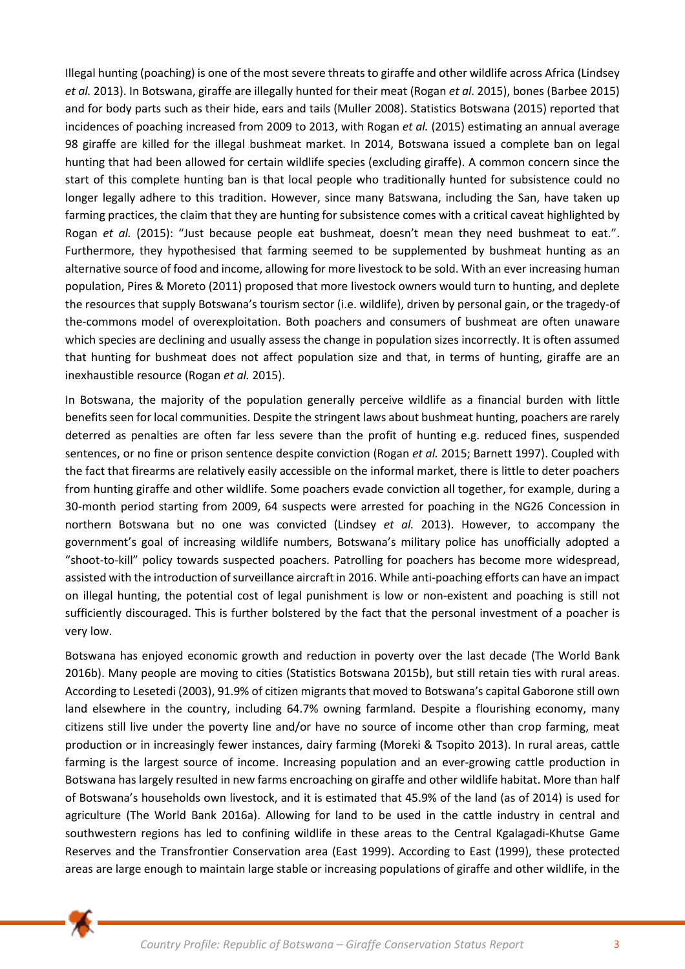Illegal hunting (poaching) is one of the most severe threats to giraffe and other wildlife across Africa (Lindsey *et al.* 2013). In Botswana, giraffe are illegally hunted for their meat (Rogan *et al.* 2015), bones (Barbee 2015) and for body parts such as their hide, ears and tails (Muller 2008). Statistics Botswana (2015) reported that incidences of poaching increased from 2009 to 2013, with Rogan *et al.* (2015) estimating an annual average 98 giraffe are killed for the illegal bushmeat market. In 2014, Botswana issued a complete ban on legal hunting that had been allowed for certain wildlife species (excluding giraffe). A common concern since the start of this complete hunting ban is that local people who traditionally hunted for subsistence could no longer legally adhere to this tradition. However, since many Batswana, including the San, have taken up farming practices, the claim that they are hunting for subsistence comes with a critical caveat highlighted by Rogan *et al.* (2015): "Just because people eat bushmeat, doesn't mean they need bushmeat to eat.". Furthermore, they hypothesised that farming seemed to be supplemented by bushmeat hunting as an alternative source of food and income, allowing for more livestock to be sold. With an ever increasing human population, Pires & Moreto (2011) proposed that more livestock owners would turn to hunting, and deplete the resources that supply Botswana's tourism sector (i.e. wildlife), driven by personal gain, or the tragedy-of the-commons model of overexploitation. Both poachers and consumers of bushmeat are often unaware which species are declining and usually assess the change in population sizes incorrectly. It is often assumed that hunting for bushmeat does not affect population size and that, in terms of hunting, giraffe are an inexhaustible resource (Rogan *et al.* 2015).

In Botswana, the majority of the population generally perceive wildlife as a financial burden with little benefits seen for local communities. Despite the stringent laws about bushmeat hunting, poachers are rarely deterred as penalties are often far less severe than the profit of hunting e.g. reduced fines, suspended sentences, or no fine or prison sentence despite conviction (Rogan *et al.* 2015; Barnett 1997). Coupled with the fact that firearms are relatively easily accessible on the informal market, there is little to deter poachers from hunting giraffe and other wildlife. Some poachers evade conviction all together, for example, during a 30-month period starting from 2009, 64 suspects were arrested for poaching in the NG26 Concession in northern Botswana but no one was convicted (Lindsey *et al.* 2013). However, to accompany the government's goal of increasing wildlife numbers, Botswana's military police has unofficially adopted a "shoot-to-kill" policy towards suspected poachers. Patrolling for poachers has become more widespread, assisted with the introduction of surveillance aircraft in 2016. While anti-poaching efforts can have an impact on illegal hunting, the potential cost of legal punishment is low or non-existent and poaching is still not sufficiently discouraged. This is further bolstered by the fact that the personal investment of a poacher is very low.

Botswana has enjoyed economic growth and reduction in poverty over the last decade (The World Bank 2016b). Many people are moving to cities (Statistics Botswana 2015b), but still retain ties with rural areas. According to Lesetedi (2003), 91.9% of citizen migrants that moved to Botswana's capital Gaborone still own land elsewhere in the country, including 64.7% owning farmland. Despite a flourishing economy, many citizens still live under the poverty line and/or have no source of income other than crop farming, meat production or in increasingly fewer instances, dairy farming (Moreki & Tsopito 2013). In rural areas, cattle farming is the largest source of income. Increasing population and an ever-growing cattle production in Botswana has largely resulted in new farms encroaching on giraffe and other wildlife habitat. More than half of Botswana's households own livestock, and it is estimated that 45.9% of the land (as of 2014) is used for agriculture (The World Bank 2016a). Allowing for land to be used in the cattle industry in central and southwestern regions has led to confining wildlife in these areas to the Central Kgalagadi-Khutse Game Reserves and the Transfrontier Conservation area (East 1999). According to East (1999), these protected areas are large enough to maintain large stable or increasing populations of giraffe and other wildlife, in the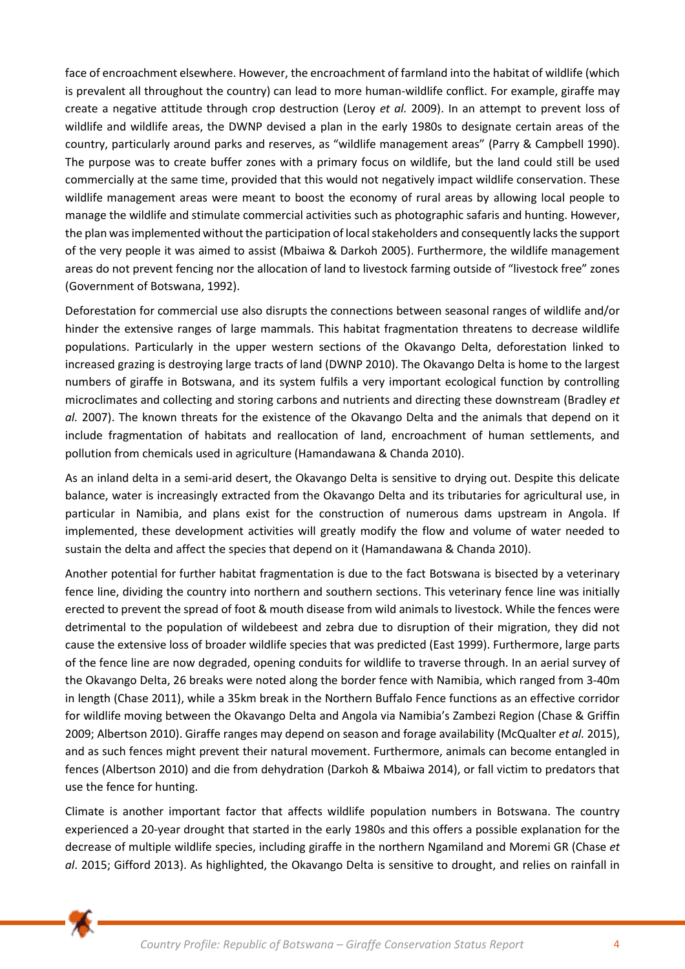face of encroachment elsewhere. However, the encroachment of farmland into the habitat of wildlife (which is prevalent all throughout the country) can lead to more human-wildlife conflict. For example, giraffe may create a negative attitude through crop destruction (Leroy *et al.* 2009). In an attempt to prevent loss of wildlife and wildlife areas, the DWNP devised a plan in the early 1980s to designate certain areas of the country, particularly around parks and reserves, as "wildlife management areas" (Parry & Campbell 1990). The purpose was to create buffer zones with a primary focus on wildlife, but the land could still be used commercially at the same time, provided that this would not negatively impact wildlife conservation. These wildlife management areas were meant to boost the economy of rural areas by allowing local people to manage the wildlife and stimulate commercial activities such as photographic safaris and hunting. However, the plan was implemented without the participation of local stakeholders and consequently lacks the support of the very people it was aimed to assist (Mbaiwa & Darkoh 2005). Furthermore, the wildlife management areas do not prevent fencing nor the allocation of land to livestock farming outside of "livestock free" zones (Government of Botswana, 1992).

Deforestation for commercial use also disrupts the connections between seasonal ranges of wildlife and/or hinder the extensive ranges of large mammals. This habitat fragmentation threatens to decrease wildlife populations. Particularly in the upper western sections of the Okavango Delta, deforestation linked to increased grazing is destroying large tracts of land (DWNP 2010). The Okavango Delta is home to the largest numbers of giraffe in Botswana, and its system fulfils a very important ecological function by controlling microclimates and collecting and storing carbons and nutrients and directing these downstream (Bradley *et al.* 2007). The known threats for the existence of the Okavango Delta and the animals that depend on it include fragmentation of habitats and reallocation of land, encroachment of human settlements, and pollution from chemicals used in agriculture (Hamandawana & Chanda 2010).

As an inland delta in a semi-arid desert, the Okavango Delta is sensitive to drying out. Despite this delicate balance, water is increasingly extracted from the Okavango Delta and its tributaries for agricultural use, in particular in Namibia, and plans exist for the construction of numerous dams upstream in Angola. If implemented, these development activities will greatly modify the flow and volume of water needed to sustain the delta and affect the species that depend on it (Hamandawana & Chanda 2010).

Another potential for further habitat fragmentation is due to the fact Botswana is bisected by a veterinary fence line, dividing the country into northern and southern sections. This veterinary fence line was initially erected to prevent the spread of foot & mouth disease from wild animals to livestock. While the fences were detrimental to the population of wildebeest and zebra due to disruption of their migration, they did not cause the extensive loss of broader wildlife species that was predicted (East 1999). Furthermore, large parts of the fence line are now degraded, opening conduits for wildlife to traverse through. In an aerial survey of the Okavango Delta, 26 breaks were noted along the border fence with Namibia, which ranged from 3-40m in length (Chase 2011), while a 35km break in the Northern Buffalo Fence functions as an effective corridor for wildlife moving between the Okavango Delta and Angola via Namibia's Zambezi Region (Chase & Griffin 2009; Albertson 2010). Giraffe ranges may depend on season and forage availability (McQualter *et al.* 2015), and as such fences might prevent their natural movement. Furthermore, animals can become entangled in fences (Albertson 2010) and die from dehydration (Darkoh & Mbaiwa 2014), or fall victim to predators that use the fence for hunting.

Climate is another important factor that affects wildlife population numbers in Botswana. The country experienced a 20-year drought that started in the early 1980s and this offers a possible explanation for the decrease of multiple wildlife species, including giraffe in the northern Ngamiland and Moremi GR (Chase *et al*. 2015; Gifford 2013). As highlighted, the Okavango Delta is sensitive to drought, and relies on rainfall in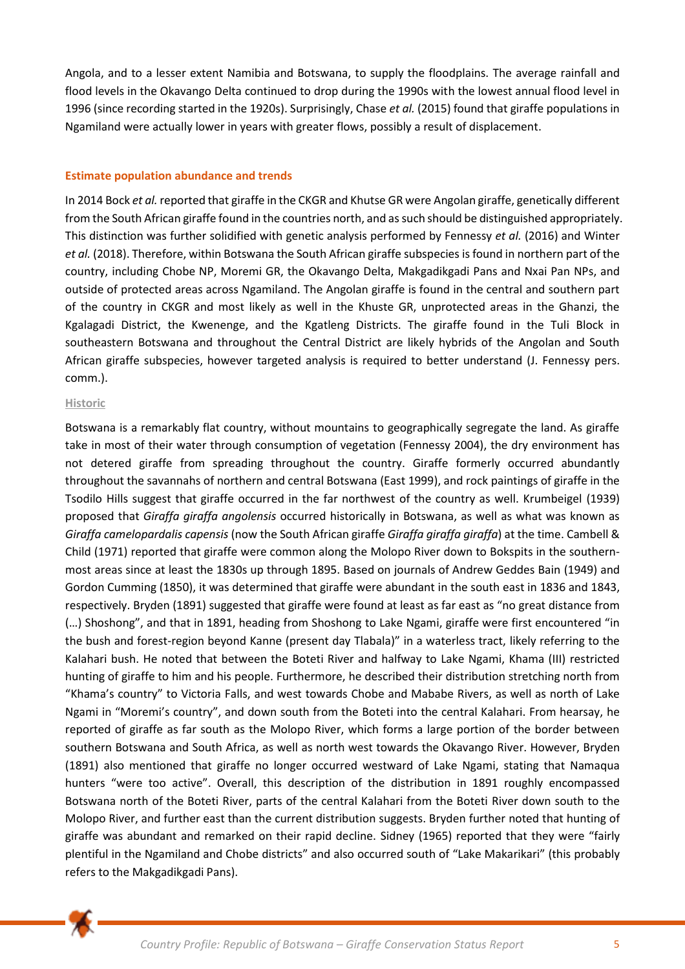Angola, and to a lesser extent Namibia and Botswana, to supply the floodplains. The average rainfall and flood levels in the Okavango Delta continued to drop during the 1990s with the lowest annual flood level in 1996 (since recording started in the 1920s). Surprisingly, Chase *et al.* (2015) found that giraffe populations in Ngamiland were actually lower in years with greater flows, possibly a result of displacement.

## **Estimate population abundance and trends**

In 2014 Bock *et al.* reported that giraffe in the CKGR and Khutse GR were Angolan giraffe, genetically different from the South African giraffe found in the countries north, and as such should be distinguished appropriately. This distinction was further solidified with genetic analysis performed by Fennessy *et al.* (2016) and Winter *et al.* (2018). Therefore, within Botswana the South African giraffe subspecies is found in northern part of the country, including Chobe NP, Moremi GR, the Okavango Delta, Makgadikgadi Pans and Nxai Pan NPs, and outside of protected areas across Ngamiland. The Angolan giraffe is found in the central and southern part of the country in CKGR and most likely as well in the Khuste GR, unprotected areas in the Ghanzi, the Kgalagadi District, the Kwenenge, and the Kgatleng Districts. The giraffe found in the Tuli Block in southeastern Botswana and throughout the Central District are likely hybrids of the Angolan and South African giraffe subspecies, however targeted analysis is required to better understand (J. Fennessy pers. comm.).

#### **Historic**

Botswana is a remarkably flat country, without mountains to geographically segregate the land. As giraffe take in most of their water through consumption of vegetation (Fennessy 2004), the dry environment has not detered giraffe from spreading throughout the country. Giraffe formerly occurred abundantly throughout the savannahs of northern and central Botswana (East 1999), and rock paintings of giraffe in the Tsodilo Hills suggest that giraffe occurred in the far northwest of the country as well. Krumbeigel (1939) proposed that *Giraffa giraffa angolensis* occurred historically in Botswana, as well as what was known as *Giraffa camelopardalis capensis* (now the South African giraffe *Giraffa giraffa giraffa*) at the time. Cambell & Child (1971) reported that giraffe were common along the Molopo River down to Bokspits in the southernmost areas since at least the 1830s up through 1895. Based on journals of Andrew Geddes Bain (1949) and Gordon Cumming (1850), it was determined that giraffe were abundant in the south east in 1836 and 1843, respectively. Bryden (1891) suggested that giraffe were found at least as far east as "no great distance from (…) Shoshong", and that in 1891, heading from Shoshong to Lake Ngami, giraffe were first encountered "in the bush and forest-region beyond Kanne (present day Tlabala)" in a waterless tract, likely referring to the Kalahari bush. He noted that between the Boteti River and halfway to Lake Ngami, Khama (III) restricted hunting of giraffe to him and his people. Furthermore, he described their distribution stretching north from "Khama's country" to Victoria Falls, and west towards Chobe and Mababe Rivers, as well as north of Lake Ngami in "Moremi's country", and down south from the Boteti into the central Kalahari. From hearsay, he reported of giraffe as far south as the Molopo River, which forms a large portion of the border between southern Botswana and South Africa, as well as north west towards the Okavango River. However, Bryden (1891) also mentioned that giraffe no longer occurred westward of Lake Ngami, stating that Namaqua hunters "were too active". Overall, this description of the distribution in 1891 roughly encompassed Botswana north of the Boteti River, parts of the central Kalahari from the Boteti River down south to the Molopo River, and further east than the current distribution suggests. Bryden further noted that hunting of giraffe was abundant and remarked on their rapid decline. Sidney (1965) reported that they were "fairly plentiful in the Ngamiland and Chobe districts" and also occurred south of "Lake Makarikari" (this probably refers to the Makgadikgadi Pans).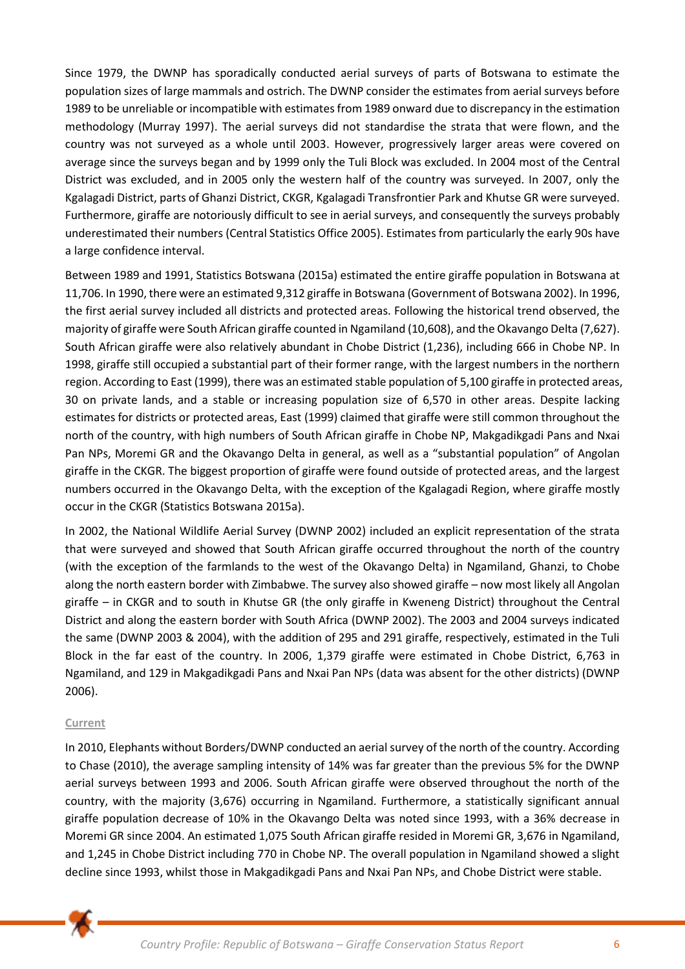Since 1979, the DWNP has sporadically conducted aerial surveys of parts of Botswana to estimate the population sizes of large mammals and ostrich. The DWNP consider the estimates from aerial surveys before 1989 to be unreliable or incompatible with estimates from 1989 onward due to discrepancy in the estimation methodology (Murray 1997). The aerial surveys did not standardise the strata that were flown, and the country was not surveyed as a whole until 2003. However, progressively larger areas were covered on average since the surveys began and by 1999 only the Tuli Block was excluded. In 2004 most of the Central District was excluded, and in 2005 only the western half of the country was surveyed. In 2007, only the Kgalagadi District, parts of Ghanzi District, CKGR, Kgalagadi Transfrontier Park and Khutse GR were surveyed. Furthermore, giraffe are notoriously difficult to see in aerial surveys, and consequently the surveys probably underestimated their numbers (Central Statistics Office 2005). Estimates from particularly the early 90s have a large confidence interval.

Between 1989 and 1991, Statistics Botswana (2015a) estimated the entire giraffe population in Botswana at 11,706. In 1990, there were an estimated 9,312 giraffe in Botswana (Government of Botswana 2002). In 1996, the first aerial survey included all districts and protected areas. Following the historical trend observed, the majority of giraffe were South African giraffe counted in Ngamiland (10,608), and the Okavango Delta (7,627). South African giraffe were also relatively abundant in Chobe District (1,236), including 666 in Chobe NP. In 1998, giraffe still occupied a substantial part of their former range, with the largest numbers in the northern region. According to East (1999), there was an estimated stable population of 5,100 giraffe in protected areas, 30 on private lands, and a stable or increasing population size of 6,570 in other areas. Despite lacking estimates for districts or protected areas, East (1999) claimed that giraffe were still common throughout the north of the country, with high numbers of South African giraffe in Chobe NP, Makgadikgadi Pans and Nxai Pan NPs, Moremi GR and the Okavango Delta in general, as well as a "substantial population" of Angolan giraffe in the CKGR. The biggest proportion of giraffe were found outside of protected areas, and the largest numbers occurred in the Okavango Delta, with the exception of the Kgalagadi Region, where giraffe mostly occur in the CKGR (Statistics Botswana 2015a).

In 2002, the National Wildlife Aerial Survey (DWNP 2002) included an explicit representation of the strata that were surveyed and showed that South African giraffe occurred throughout the north of the country (with the exception of the farmlands to the west of the Okavango Delta) in Ngamiland, Ghanzi, to Chobe along the north eastern border with Zimbabwe. The survey also showed giraffe – now most likely all Angolan giraffe – in CKGR and to south in Khutse GR (the only giraffe in Kweneng District) throughout the Central District and along the eastern border with South Africa (DWNP 2002). The 2003 and 2004 surveys indicated the same (DWNP 2003 & 2004), with the addition of 295 and 291 giraffe, respectively, estimated in the Tuli Block in the far east of the country. In 2006, 1,379 giraffe were estimated in Chobe District, 6,763 in Ngamiland, and 129 in Makgadikgadi Pans and Nxai Pan NPs (data was absent for the other districts) (DWNP 2006).

# **Current**

In 2010, Elephants without Borders/DWNP conducted an aerial survey of the north of the country. According to Chase (2010), the average sampling intensity of 14% was far greater than the previous 5% for the DWNP aerial surveys between 1993 and 2006. South African giraffe were observed throughout the north of the country, with the majority (3,676) occurring in Ngamiland. Furthermore, a statistically significant annual giraffe population decrease of 10% in the Okavango Delta was noted since 1993, with a 36% decrease in Moremi GR since 2004. An estimated 1,075 South African giraffe resided in Moremi GR, 3,676 in Ngamiland, and 1,245 in Chobe District including 770 in Chobe NP. The overall population in Ngamiland showed a slight decline since 1993, whilst those in Makgadikgadi Pans and Nxai Pan NPs, and Chobe District were stable.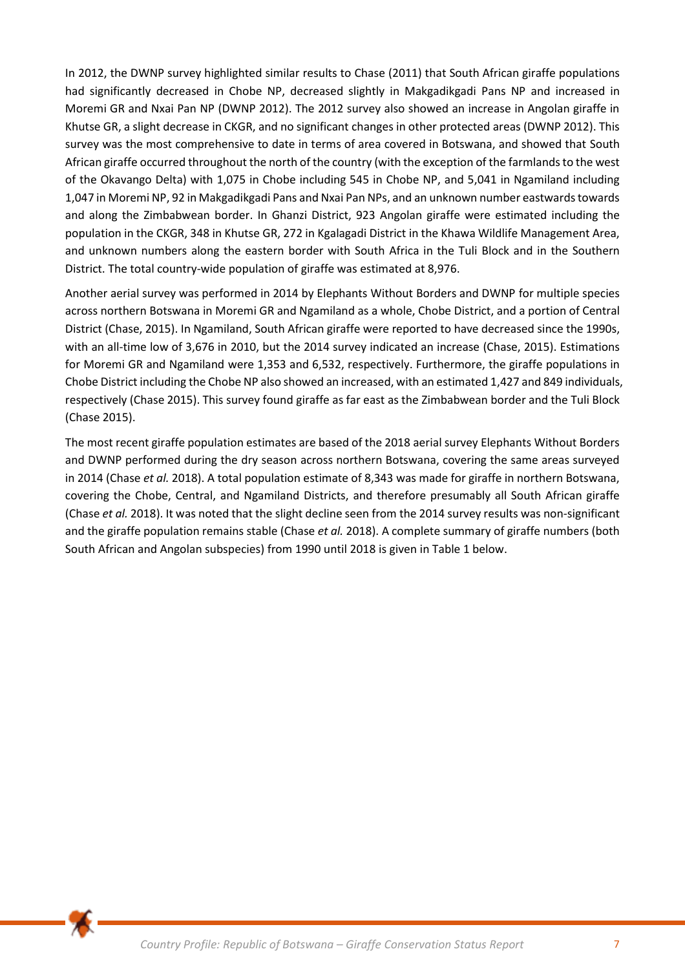In 2012, the DWNP survey highlighted similar results to Chase (2011) that South African giraffe populations had significantly decreased in Chobe NP, decreased slightly in Makgadikgadi Pans NP and increased in Moremi GR and Nxai Pan NP (DWNP 2012). The 2012 survey also showed an increase in Angolan giraffe in Khutse GR, a slight decrease in CKGR, and no significant changes in other protected areas (DWNP 2012). This survey was the most comprehensive to date in terms of area covered in Botswana, and showed that South African giraffe occurred throughout the north of the country (with the exception of the farmlands to the west of the Okavango Delta) with 1,075 in Chobe including 545 in Chobe NP, and 5,041 in Ngamiland including 1,047 in Moremi NP, 92 in Makgadikgadi Pans and Nxai Pan NPs, and an unknown number eastwards towards and along the Zimbabwean border. In Ghanzi District, 923 Angolan giraffe were estimated including the population in the CKGR, 348 in Khutse GR, 272 in Kgalagadi District in the Khawa Wildlife Management Area, and unknown numbers along the eastern border with South Africa in the Tuli Block and in the Southern District. The total country-wide population of giraffe was estimated at 8,976.

Another aerial survey was performed in 2014 by Elephants Without Borders and DWNP for multiple species across northern Botswana in Moremi GR and Ngamiland as a whole, Chobe District, and a portion of Central District (Chase, 2015). In Ngamiland, South African giraffe were reported to have decreased since the 1990s, with an all-time low of 3,676 in 2010, but the 2014 survey indicated an increase (Chase, 2015). Estimations for Moremi GR and Ngamiland were 1,353 and 6,532, respectively. Furthermore, the giraffe populations in Chobe District including the Chobe NP also showed an increased, with an estimated 1,427 and 849 individuals, respectively (Chase 2015). This survey found giraffe as far east as the Zimbabwean border and the Tuli Block (Chase 2015).

The most recent giraffe population estimates are based of the 2018 aerial survey Elephants Without Borders and DWNP performed during the dry season across northern Botswana, covering the same areas surveyed in 2014 (Chase *et al.* 2018). A total population estimate of 8,343 was made for giraffe in northern Botswana, covering the Chobe, Central, and Ngamiland Districts, and therefore presumably all South African giraffe (Chase *et al.* 2018). It was noted that the slight decline seen from the 2014 survey results was non-significant and the giraffe population remains stable (Chase *et al.* 2018). A complete summary of giraffe numbers (both South African and Angolan subspecies) from 1990 until 2018 is given in Table 1 below.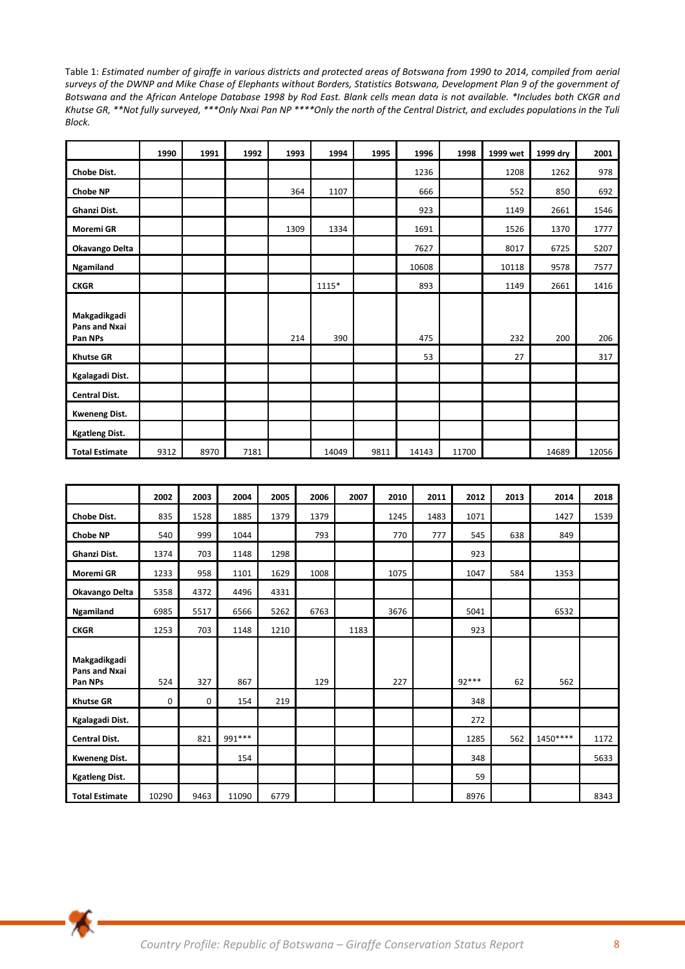Table 1: *Estimated number of giraffe in various districts and protected areas of Botswana from 1990 to 2014, compiled from aerial surveys of the DWNP and Mike Chase of Elephants without Borders, Statistics Botswana, Development Plan 9 of the government of Botswana and the African Antelope Database 1998 by Rod East. Blank cells mean data is not available. \*Includes both CKGR and Khutse GR, \*\*Not fully surveyed, \*\*\*Only Nxai Pan NP \*\*\*\*Only the north of the Central District, and excludes populations in the Tuli Block.* 

|                                          | 1990 | 1991 | 1992 | 1993 | 1994  | 1995 | 1996  | 1998  | 1999 wet | 1999 dry | 2001  |
|------------------------------------------|------|------|------|------|-------|------|-------|-------|----------|----------|-------|
| Chobe Dist.                              |      |      |      |      |       |      | 1236  |       | 1208     | 1262     | 978   |
| <b>Chobe NP</b>                          |      |      |      | 364  | 1107  |      | 666   |       | 552      | 850      | 692   |
| Ghanzi Dist.                             |      |      |      |      |       |      | 923   |       | 1149     | 2661     | 1546  |
| Moremi GR                                |      |      |      | 1309 | 1334  |      | 1691  |       | 1526     | 1370     | 1777  |
| Okavango Delta                           |      |      |      |      |       |      | 7627  |       | 8017     | 6725     | 5207  |
| Ngamiland                                |      |      |      |      |       |      | 10608 |       | 10118    | 9578     | 7577  |
| <b>CKGR</b>                              |      |      |      |      | 1115* |      | 893   |       | 1149     | 2661     | 1416  |
| Makgadikgadi<br>Pans and Nxai<br>Pan NPs |      |      |      | 214  | 390   |      | 475   |       | 232      | 200      | 206   |
| <b>Khutse GR</b>                         |      |      |      |      |       |      | 53    |       | 27       |          | 317   |
| Kgalagadi Dist.                          |      |      |      |      |       |      |       |       |          |          |       |
| <b>Central Dist.</b>                     |      |      |      |      |       |      |       |       |          |          |       |
| <b>Kweneng Dist.</b>                     |      |      |      |      |       |      |       |       |          |          |       |
| <b>Kgatleng Dist.</b>                    |      |      |      |      |       |      |       |       |          |          |       |
| <b>Total Estimate</b>                    | 9312 | 8970 | 7181 |      | 14049 | 9811 | 14143 | 11700 |          | 14689    | 12056 |

|                                          | 2002  | 2003 | 2004    | 2005 | 2006 | 2007 | 2010 | 2011 | 2012  | 2013 | 2014     | 2018 |
|------------------------------------------|-------|------|---------|------|------|------|------|------|-------|------|----------|------|
| Chobe Dist.                              | 835   | 1528 | 1885    | 1379 | 1379 |      | 1245 | 1483 | 1071  |      | 1427     | 1539 |
| <b>Chobe NP</b>                          | 540   | 999  | 1044    |      | 793  |      | 770  | 777  | 545   | 638  | 849      |      |
| Ghanzi Dist.                             | 1374  | 703  | 1148    | 1298 |      |      |      |      | 923   |      |          |      |
| Moremi GR                                | 1233  | 958  | 1101    | 1629 | 1008 |      | 1075 |      | 1047  | 584  | 1353     |      |
| Okavango Delta                           | 5358  | 4372 | 4496    | 4331 |      |      |      |      |       |      |          |      |
| Ngamiland                                | 6985  | 5517 | 6566    | 5262 | 6763 |      | 3676 |      | 5041  |      | 6532     |      |
| <b>CKGR</b>                              | 1253  | 703  | 1148    | 1210 |      | 1183 |      |      | 923   |      |          |      |
| Makgadikgadi<br>Pans and Nxai<br>Pan NPs | 524   | 327  | 867     |      | 129  |      | 227  |      | 92*** | 62   | 562      |      |
| <b>Khutse GR</b>                         | 0     | 0    | 154     | 219  |      |      |      |      | 348   |      |          |      |
| Kgalagadi Dist.                          |       |      |         |      |      |      |      |      | 272   |      |          |      |
| <b>Central Dist.</b>                     |       | 821  | 991 *** |      |      |      |      |      | 1285  | 562  | 1450**** | 1172 |
| <b>Kweneng Dist.</b>                     |       |      | 154     |      |      |      |      |      | 348   |      |          | 5633 |
| <b>Kgatleng Dist.</b>                    |       |      |         |      |      |      |      |      | 59    |      |          |      |
| <b>Total Estimate</b>                    | 10290 | 9463 | 11090   | 6779 |      |      |      |      | 8976  |      |          | 8343 |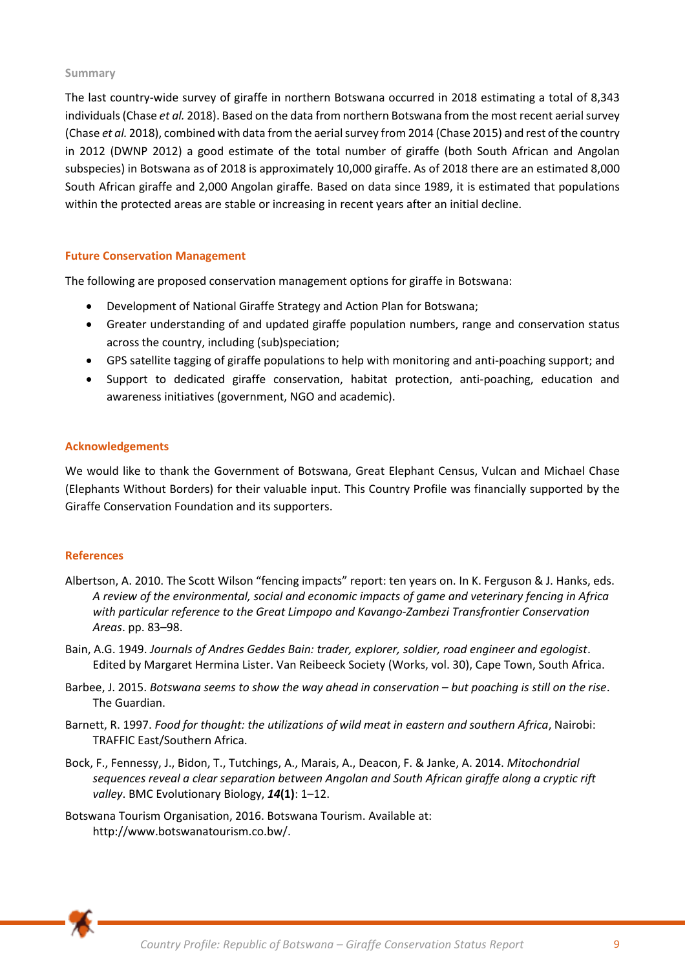#### **Summary**

The last country-wide survey of giraffe in northern Botswana occurred in 2018 estimating a total of 8,343 individuals (Chase *et al.* 2018). Based on the data from northern Botswana from the most recent aerial survey (Chase *et al.* 2018), combined with data from the aerial survey from 2014 (Chase 2015) and rest of the country in 2012 (DWNP 2012) a good estimate of the total number of giraffe (both South African and Angolan subspecies) in Botswana as of 2018 is approximately 10,000 giraffe. As of 2018 there are an estimated 8,000 South African giraffe and 2,000 Angolan giraffe. Based on data since 1989, it is estimated that populations within the protected areas are stable or increasing in recent years after an initial decline.

## **Future Conservation Management**

The following are proposed conservation management options for giraffe in Botswana:

- Development of National Giraffe Strategy and Action Plan for Botswana;
- Greater understanding of and updated giraffe population numbers, range and conservation status across the country, including (sub)speciation;
- GPS satellite tagging of giraffe populations to help with monitoring and anti-poaching support; and
- Support to dedicated giraffe conservation, habitat protection, anti‐poaching, education and awareness initiatives (government, NGO and academic).

#### **Acknowledgements**

We would like to thank the Government of Botswana, Great Elephant Census, Vulcan and Michael Chase (Elephants Without Borders) for their valuable input. This Country Profile was financially supported by the Giraffe Conservation Foundation and its supporters.

## **References**

- Albertson, A. 2010. The Scott Wilson "fencing impacts" report: ten years on. In K. Ferguson & J. Hanks, eds. *A review of the environmental, social and economic impacts of game and veterinary fencing in Africa with particular reference to the Great Limpopo and Kavango-Zambezi Transfrontier Conservation Areas*. pp. 83–98.
- Bain, A.G. 1949. *Journals of Andres Geddes Bain: trader, explorer, soldier, road engineer and egologist*. Edited by Margaret Hermina Lister. Van Reibeeck Society (Works, vol. 30), Cape Town, South Africa.
- Barbee, J. 2015. *Botswana seems to show the way ahead in conservation but poaching is still on the rise*. The Guardian.
- Barnett, R. 1997. *Food for thought: the utilizations of wild meat in eastern and southern Africa*, Nairobi: TRAFFIC East/Southern Africa.
- Bock, F., Fennessy, J., Bidon, T., Tutchings, A., Marais, A., Deacon, F. & Janke, A. 2014. *Mitochondrial sequences reveal a clear separation between Angolan and South African giraffe along a cryptic rift valley*. BMC Evolutionary Biology, *14***(1)**: 1–12.
- Botswana Tourism Organisation, 2016. Botswana Tourism. Available at: http://www.botswanatourism.co.bw/.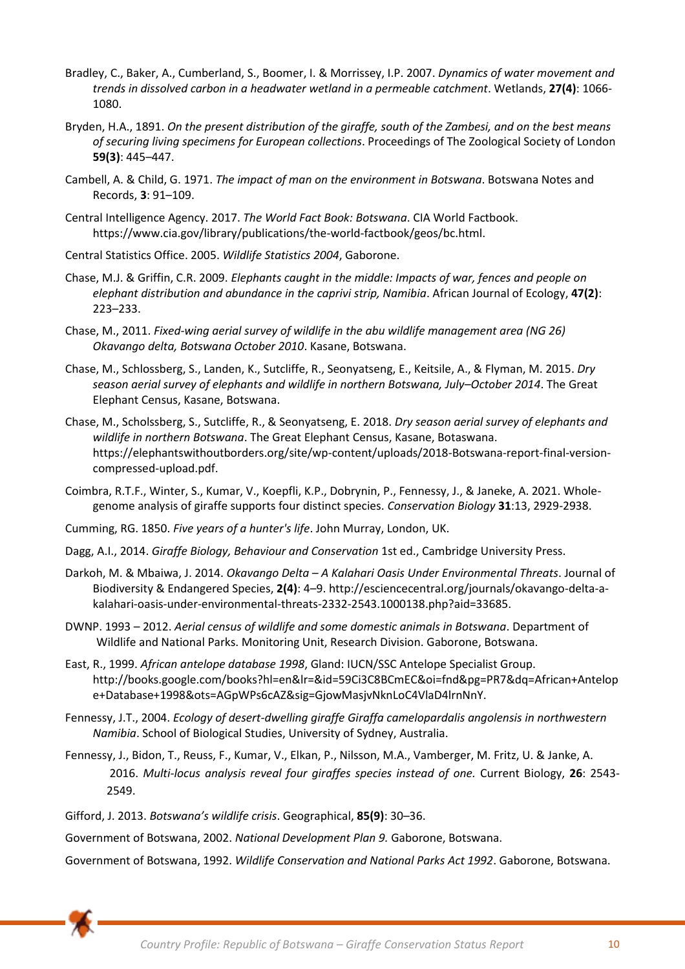- Bradley, C., Baker, A., Cumberland, S., Boomer, I. & Morrissey, I.P. 2007. *Dynamics of water movement and trends in dissolved carbon in a headwater wetland in a permeable catchment*. Wetlands, **27(4)**: 1066- 1080.
- Bryden, H.A., 1891. *On the present distribution of the giraffe, south of the Zambesi, and on the best means of securing living specimens for European collections*. Proceedings of The Zoological Society of London **59(3)**: 445–447.
- Cambell, A. & Child, G. 1971. *The impact of man on the environment in Botswana*. Botswana Notes and Records, **3**: 91–109.
- Central Intelligence Agency. 2017. *The World Fact Book: Botswana*. CIA World Factbook. https://www.cia.gov/library/publications/the-world-factbook/geos/bc.html.
- Central Statistics Office. 2005. *Wildlife Statistics 2004*, Gaborone.
- Chase, M.J. & Griffin, C.R. 2009. *Elephants caught in the middle: Impacts of war, fences and people on elephant distribution and abundance in the caprivi strip, Namibia*. African Journal of Ecology, **47(2)**: 223–233.
- Chase, M., 2011. *Fixed-wing aerial survey of wildlife in the abu wildlife management area (NG 26) Okavango delta, Botswana October 2010*. Kasane, Botswana.
- Chase, M., Schlossberg, S., Landen, K., Sutcliffe, R., Seonyatseng, E., Keitsile, A., & Flyman, M. 2015. *Dry season aerial survey of elephants and wildlife in northern Botswana, July–October 2014*. The Great Elephant Census, Kasane, Botswana.
- Chase, M., Scholssberg, S., Sutcliffe, R., & Seonyatseng, E. 2018. *Dry season aerial survey of elephants and wildlife in northern Botswana*. The Great Elephant Census, Kasane, Botaswana. https://elephantswithoutborders.org/site/wp-content/uploads/2018-Botswana-report-final-versioncompressed-upload.pdf.
- Coimbra, R.T.F., Winter, S., Kumar, V., Koepfli, K.P., Dobrynin, P., Fennessy, J., & Janeke, A. 2021. Wholegenome analysis of giraffe supports four distinct species. *Conservation Biology* **31**:13, 2929-2938.
- Cumming, RG. 1850. *Five years of a hunter's life*. John Murray, London, UK.
- Dagg, A.I., 2014. *Giraffe Biology, Behaviour and Conservation* 1st ed., Cambridge University Press.
- Darkoh, M. & Mbaiwa, J. 2014. *Okavango Delta – A Kalahari Oasis Under Environmental Threats*. Journal of Biodiversity & Endangered Species, **2(4)**: 4–9. http://esciencecentral.org/journals/okavango-delta-akalahari-oasis-under-environmental-threats-2332-2543.1000138.php?aid=33685.
- DWNP. 1993 2012. *Aerial census of wildlife and some domestic animals in Botswana*. Department of Wildlife and National Parks. Monitoring Unit, Research Division. Gaborone, Botswana.
- East, R., 1999. *African antelope database 1998*, Gland: IUCN/SSC Antelope Specialist Group. http://books.google.com/books?hl=en&lr=&id=59Ci3C8BCmEC&oi=fnd&pg=PR7&dq=African+Antelop e+Database+1998&ots=AGpWPs6cAZ&sig=GjowMasjvNknLoC4VlaD4lrnNnY.
- Fennessy, J.T., 2004. *Ecology of desert-dwelling giraffe Giraffa camelopardalis angolensis in northwestern Namibia*. School of Biological Studies, University of Sydney, Australia.
- Fennessy, J., Bidon, T., Reuss, F., Kumar, V., Elkan, P., Nilsson, M.A., Vamberger, M. Fritz, U. & Janke, A. 2016. *Multi-locus analysis reveal four giraffes species instead of one.* Current Biology, **26**: 2543- 2549.
- Gifford, J. 2013. *Botswana's wildlife crisis*. Geographical, **85(9)**: 30–36.

Government of Botswana, 2002. *National Development Plan 9.* Gaborone, Botswana.

Government of Botswana, 1992. *Wildlife Conservation and National Parks Act 1992*. Gaborone, Botswana.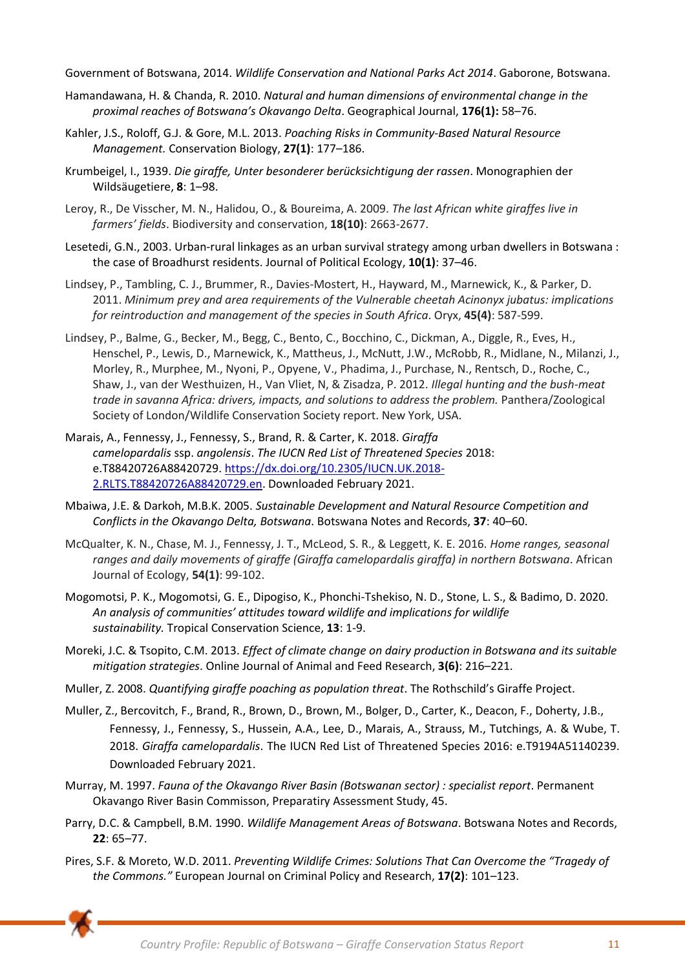Government of Botswana, 2014. *Wildlife Conservation and National Parks Act 2014*. Gaborone, Botswana.

- Hamandawana, H. & Chanda, R. 2010. *Natural and human dimensions of environmental change in the proximal reaches of Botswana's Okavango Delta*. Geographical Journal, **176(1):** 58–76.
- Kahler, J.S., Roloff, G.J. & Gore, M.L. 2013. *Poaching Risks in Community-Based Natural Resource Management.* Conservation Biology, **27(1)**: 177–186.
- Krumbeigel, I., 1939. *Die giraffe, Unter besonderer berücksichtigung der rassen*. Monographien der Wildsäugetiere, **8**: 1–98.
- Leroy, R., De Visscher, M. N., Halidou, O., & Boureima, A. 2009. *The last African white giraffes live in farmers' fields*. Biodiversity and conservation, **18(10)**: 2663-2677.
- Lesetedi, G.N., 2003. Urban-rural linkages as an urban survival strategy among urban dwellers in Botswana : the case of Broadhurst residents. Journal of Political Ecology, **10(1)**: 37–46.
- Lindsey, P., Tambling, C. J., Brummer, R., Davies-Mostert, H., Hayward, M., Marnewick, K., & Parker, D. 2011. *Minimum prey and area requirements of the Vulnerable cheetah Acinonyx jubatus: implications for reintroduction and management of the species in South Africa*. Oryx, **45(4)**: 587-599.
- Lindsey, P., Balme, G., Becker, M., Begg, C., Bento, C., Bocchino, C., Dickman, A., Diggle, R., Eves, H., Henschel, P., Lewis, D., Marnewick, K., Mattheus, J., McNutt, J.W., McRobb, R., Midlane, N., Milanzi, J., Morley, R., Murphee, M., Nyoni, P., Opyene, V., Phadima, J., Purchase, N., Rentsch, D., Roche, C., Shaw, J., van der Westhuizen, H., Van Vliet, N, & Zisadza, P. 2012. *Illegal hunting and the bush-meat trade in savanna Africa: drivers, impacts, and solutions to address the problem.* Panthera/Zoological Society of London/Wildlife Conservation Society report. New York, USA.
- Marais, A., Fennessy, J., Fennessy, S., Brand, R. & Carter, K. 2018. *Giraffa camelopardalis* ssp. *angolensis*. *The IUCN Red List of Threatened Species* 2018: e.T88420726A88420729. [https://dx.doi.org/10.2305/IUCN.UK.2018-](https://dx.doi.org/10.2305/IUCN.UK.2018-2.RLTS.T88420726A88420729.en) [2.RLTS.T88420726A88420729.en.](https://dx.doi.org/10.2305/IUCN.UK.2018-2.RLTS.T88420726A88420729.en) Downloaded February 2021.
- Mbaiwa, J.E. & Darkoh, M.B.K. 2005. *Sustainable Development and Natural Resource Competition and Conflicts in the Okavango Delta, Botswana*. Botswana Notes and Records, **37**: 40–60.
- McQualter, K. N., Chase, M. J., Fennessy, J. T., McLeod, S. R., & Leggett, K. E. 2016. *Home ranges, seasonal ranges and daily movements of giraffe (Giraffa camelopardalis giraffa) in northern Botswana*. African Journal of Ecology, **54(1)**: 99-102.
- Mogomotsi, P. K., Mogomotsi, G. E., Dipogiso, K., Phonchi-Tshekiso, N. D., Stone, L. S., & Badimo, D. 2020. *An analysis of communities' attitudes toward wildlife and implications for wildlife sustainability.* Tropical Conservation Science, **13**: 1-9.
- Moreki, J.C. & Tsopito, C.M. 2013. *Effect of climate change on dairy production in Botswana and its suitable mitigation strategies*. Online Journal of Animal and Feed Research, **3(6)**: 216–221.
- Muller, Z. 2008. *Quantifying giraffe poaching as population threat*. The Rothschild's Giraffe Project.
- Muller, Z., Bercovitch, F., Brand, R., Brown, D., Brown, M., Bolger, D., Carter, K., Deacon, F., Doherty, J.B., Fennessy, J., Fennessy, S., Hussein, A.A., Lee, D., Marais, A., Strauss, M., Tutchings, A. & Wube, T. 2018. *Giraffa camelopardalis*. The IUCN Red List of Threatened Species 2016: e.T9194A51140239. Downloaded February 2021.
- Murray, M. 1997. *Fauna of the Okavango River Basin (Botswanan sector) : specialist report*. Permanent Okavango River Basin Commisson, Preparatiry Assessment Study, 45.
- Parry, D.C. & Campbell, B.M. 1990. *Wildlife Management Areas of Botswana*. Botswana Notes and Records, **22**: 65–77.
- Pires, S.F. & Moreto, W.D. 2011. *Preventing Wildlife Crimes: Solutions That Can Overcome the "Tragedy of the Commons."* European Journal on Criminal Policy and Research, **17(2)**: 101–123.

*Country Profile: Republic of Botswana – Giraffe Conservation Status Report* 11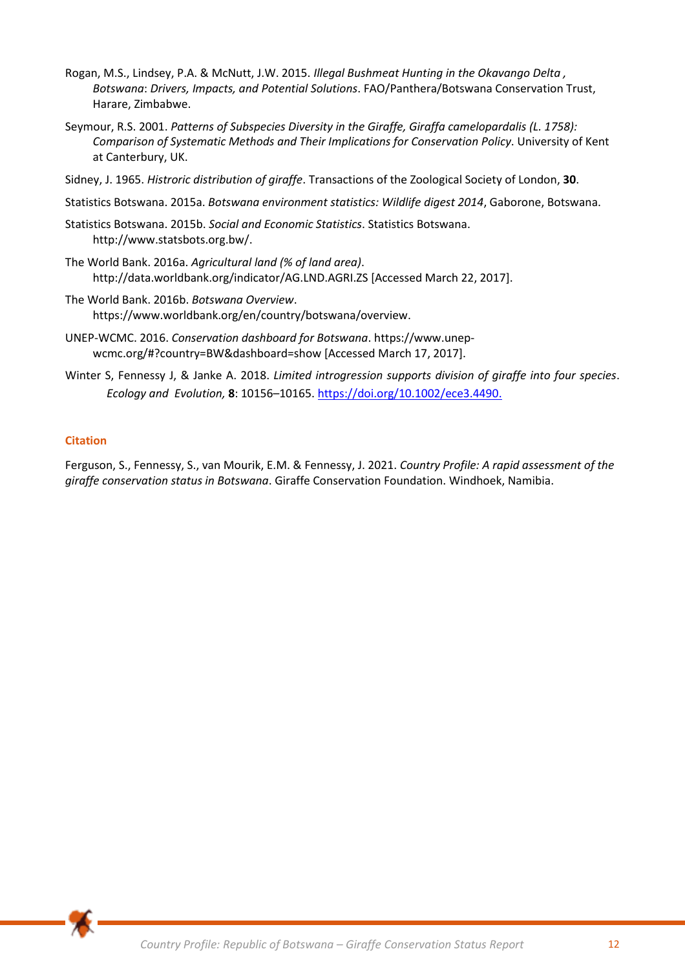- Rogan, M.S., Lindsey, P.A. & McNutt, J.W. 2015. *Illegal Bushmeat Hunting in the Okavango Delta , Botswana*: *Drivers, Impacts, and Potential Solutions*. FAO/Panthera/Botswana Conservation Trust, Harare, Zimbabwe.
- Seymour, R.S. 2001. *Patterns of Subspecies Diversity in the Giraffe, Giraffa camelopardalis (L. 1758): Comparison of Systematic Methods and Their Implications for Conservation Policy*. University of Kent at Canterbury, UK.
- Sidney, J. 1965. *Histroric distribution of giraffe*. Transactions of the Zoological Society of London, **30**.
- Statistics Botswana. 2015a. *Botswana environment statistics: Wildlife digest 2014*, Gaborone, Botswana.
- Statistics Botswana. 2015b. *Social and Economic Statistics*. Statistics Botswana. http://www.statsbots.org.bw/.
- The World Bank. 2016a. *Agricultural land (% of land area)*. http://data.worldbank.org/indicator/AG.LND.AGRI.ZS [Accessed March 22, 2017].
- The World Bank. 2016b. *Botswana Overview*. https://www.worldbank.org/en/country/botswana/overview.
- UNEP-WCMC. 2016. *Conservation dashboard for Botswana*. https://www.unepwcmc.org/#?country=BW&dashboard=show [Accessed March 17, 2017].
- Winter S, Fennessy J, & Janke A. 2018. *Limited introgression supports division of giraffe into four species*. *Ecology and Evolution,* **8**: 10156–10165. [https://doi.org/10.1002/ece3.4490.](https://doi.org/10.1002/ece3.4490)

# **Citation**

Ferguson, S., Fennessy, S., van Mourik, E.M. & Fennessy, J. 2021. *Country Profile: A rapid assessment of the giraffe conservation status in Botswana*. Giraffe Conservation Foundation. Windhoek, Namibia.